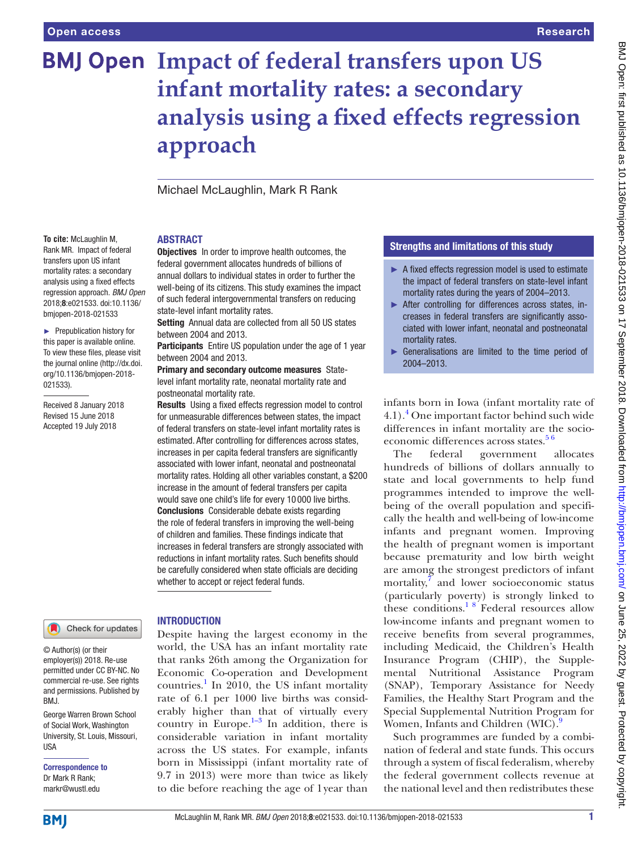# **BMJ Open Impact of federal transfers upon US infant mortality rates: a secondary analysis using a fixed effects regression approach**

Michael McLaughlin, Mark R Rank

**Objectives** In order to improve health outcomes, the federal government allocates hundreds of billions of annual dollars to individual states in order to further the well-being of its citizens. This study examines the impact of such federal intergovernmental transfers on reducing

Setting Annual data are collected from all 50 US states

Participants Entire US population under the age of 1 year

Results Using a fixed effects regression model to control for unmeasurable differences between states, the impact of federal transfers on state-level infant mortality rates is estimated. After controlling for differences across states, increases in per capita federal transfers are significantly associated with lower infant, neonatal and postneonatal mortality rates. Holding all other variables constant, a \$200 increase in the amount of federal transfers per capita would save one child's life for every 10 000 live births. Conclusions Considerable debate exists regarding the role of federal transfers in improving the well-being of children and families. These findings indicate that increases in federal transfers are strongly associated with reductions in infant mortality rates. Such benefits should be carefully considered when state officials are deciding

Primary and secondary outcome measures Statelevel infant mortality rate, neonatal mortality rate and

state-level infant mortality rates.

between 2004 and 2013.

between 2004 and 2013.

postneonatal mortality rate.

### **ABSTRACT**

**To cite:** McLaughlin M, Rank MR. Impact of federal transfers upon US infant mortality rates: a secondary analysis using a fixed effects regression approach. *BMJ Open* 2018;8:e021533. doi:10.1136/ bmjopen-2018-021533

► Prepublication history for this paper is available online. To view these files, please visit the journal online [\(http://dx.doi.](http://dx.doi.org/10.1136/bmjopen-2018-021533) [org/10.1136/bmjopen-2018-](http://dx.doi.org/10.1136/bmjopen-2018-021533) [021533\)](http://dx.doi.org/10.1136/bmjopen-2018-021533).

Received 8 January 2018 Revised 15 June 2018 Accepted 19 July 2018

#### Check for updates

© Author(s) (or their employer(s)) 2018. Re-use permitted under CC BY-NC. No commercial re-use. See rights and permissions. Published by RM<sub>J</sub>

George Warren Brown School of Social Work, Washington University, St. Louis, Missouri, **IISA** 

Correspondence to Dr Mark R Rank; markr@wustl.edu

# **INTRODUCTION**

whether to accept or reject federal funds.

Despite having the largest economy in the world, the USA has an infant mortality rate that ranks 26th among the Organization for Economic Co-operation and Development countries.<sup>1</sup> In 2010, the US infant mortality rate of 6.1 per 1000 live births was considerably higher than that of virtually every country in Europe. $1-3$  In addition, there is considerable variation in infant mortality across the US states. For example, infants born in Mississippi (infant mortality rate of 9.7 in 2013) were more than twice as likely to die before reaching the age of 1year than

# Strengths and limitations of this study

- ► A fixed effects regression model is used to estimate the impact of federal transfers on state-level infant mortality rates during the years of 2004–2013.
- ► After controlling for differences across states, increases in federal transfers are significantly associated with lower infant, neonatal and postneonatal mortality rates.
- ► Generalisations are limited to the time period of 2004–2013.

infants born in Iowa (infant mortality rate of 4.1)[.4](#page-5-1) One important factor behind such wide differences in infant mortality are the socioeconomic differences across states. $56$ 

The federal government allocates hundreds of billions of dollars annually to state and local governments to help fund programmes intended to improve the wellbeing of the overall population and specifically the health and well-being of low-income infants and pregnant women. Improving the health of pregnant women is important because prematurity and low birth weight are among the strongest predictors of infant mortality, $\bar{7}$  $\bar{7}$  $\bar{7}$  and lower socioeconomic status (particularly poverty) is strongly linked to these conditions.<sup>18</sup> Federal resources allow low-income infants and pregnant women to receive benefits from several programmes, including Medicaid, the Children's Health Insurance Program (CHIP), the Supplemental Nutritional Assistance Program (SNAP), Temporary Assistance for Needy Families, the Healthy Start Program and the Special Supplemental Nutrition Program for Women, Infants and Children (WIC).<sup>[9](#page-5-4)</sup>

Such programmes are funded by a combination of federal and state funds. This occurs through a system of fiscal federalism, whereby the federal government collects revenue at the national level and then redistributes these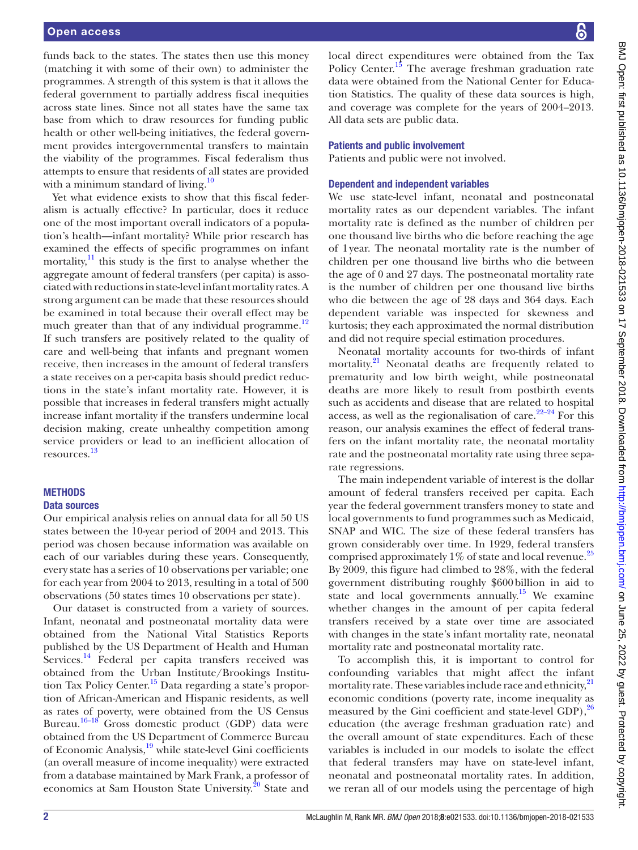funds back to the states. The states then use this money (matching it with some of their own) to administer the programmes. A strength of this system is that it allows the federal government to partially address fiscal inequities across state lines. Since not all states have the same tax base from which to draw resources for funding public health or other well-being initiatives, the federal government provides intergovernmental transfers to maintain the viability of the programmes. Fiscal federalism thus attempts to ensure that residents of all states are provided with a minimum standard of living. $10$ 

Yet what evidence exists to show that this fiscal federalism is actually effective? In particular, does it reduce one of the most important overall indicators of a population's health—infant mortality? While prior research has examined the effects of specific programmes on infant mortality, $\frac{11}{11}$  $\frac{11}{11}$  $\frac{11}{11}$  this study is the first to analyse whether the aggregate amount of federal transfers (per capita) is associated with reductions in state-level infant mortality rates. A strong argument can be made that these resources should be examined in total because their overall effect may be much greater than that of any individual programme.<sup>[12](#page-5-7)</sup> If such transfers are positively related to the quality of care and well-being that infants and pregnant women receive, then increases in the amount of federal transfers a state receives on a per-capita basis should predict reductions in the state's infant mortality rate. However, it is possible that increases in federal transfers might actually increase infant mortality if the transfers undermine local decision making, create unhealthy competition among service providers or lead to an inefficient allocation of resources. [13](#page-5-8)

### **METHODS**

#### Data sources

Our empirical analysis relies on annual data for all 50 US states between the 10-year period of 2004 and 2013. This period was chosen because information was available on each of our variables during these years. Consequently, every state has a series of 10 observations per variable; one for each year from 2004 to 2013, resulting in a total of 500 observations (50 states times 10 observations per state).

Our dataset is constructed from a variety of sources. Infant, neonatal and postneonatal mortality data were obtained from the National Vital Statistics Reports published by the US Department of Health and Human Services.<sup>14</sup> Federal per capita transfers received was obtained from the Urban Institute/Brookings Institution Tax Policy Center.<sup>15</sup> Data regarding a state's proportion of African-American and Hispanic residents, as well as rates of poverty, were obtained from the US Census Bureau.<sup>16-18</sup> Gross domestic product (GDP) data were obtained from the US Department of Commerce Bureau of Economic Analysis[,19](#page-6-0) while state-level Gini coefficients (an overall measure of income inequality) were extracted from a database maintained by Mark Frank, a professor of economics at Sam Houston State University.<sup>[20](#page-6-1)</sup> State and

local direct expenditures were obtained from the Tax Policy Center.<sup>15</sup> The average freshman graduation rate data were obtained from the National Center for Education Statistics. The quality of these data sources is high, and coverage was complete for the years of 2004–2013. All data sets are public data.

#### Patients and public involvement

Patients and public were not involved.

#### Dependent and independent variables

We use state-level infant, neonatal and postneonatal mortality rates as our dependent variables. The infant mortality rate is defined as the number of children per one thousand live births who die before reaching the age of 1year. The neonatal mortality rate is the number of children per one thousand live births who die between the age of 0 and 27 days. The postneonatal mortality rate is the number of children per one thousand live births who die between the age of 28 days and 364 days. Each dependent variable was inspected for skewness and kurtosis; they each approximated the normal distribution and did not require special estimation procedures.

Neonatal mortality accounts for two-thirds of infant mortality.<sup>21</sup> Neonatal deaths are frequently related to prematurity and low birth weight, while postneonatal deaths are more likely to result from postbirth events such as accidents and disease that are related to hospital access, as well as the regionalisation of care. $22-24$  For this reason, our analysis examines the effect of federal transfers on the infant mortality rate, the neonatal mortality rate and the postneonatal mortality rate using three separate regressions.

The main independent variable of interest is the dollar amount of federal transfers received per capita. Each year the federal government transfers money to state and local governments to fund programmes such as Medicaid, SNAP and WIC. The size of these federal transfers has grown considerably over time. In 1929, federal transfers comprised approximately 1% of state and local revenue.<sup>[25](#page-6-4)</sup> By 2009, this figure had climbed to 28%, with the federal government distributing roughly \$600billion in aid to state and local governments annually.<sup>[15](#page-5-10)</sup> We examine whether changes in the amount of per capita federal transfers received by a state over time are associated with changes in the state's infant mortality rate, neonatal mortality rate and postneonatal mortality rate.

To accomplish this, it is important to control for confounding variables that might affect the infant mortality rate. These variables include race and ethnicity,<sup>[21](#page-6-2)</sup> economic conditions (poverty rate, income inequality as measured by the Gini coefficient and state-level GDP),<sup>[26](#page-6-5)</sup> education (the average freshman graduation rate) and the overall amount of state expenditures. Each of these variables is included in our models to isolate the effect that federal transfers may have on state-level infant, neonatal and postneonatal mortality rates. In addition, we reran all of our models using the percentage of high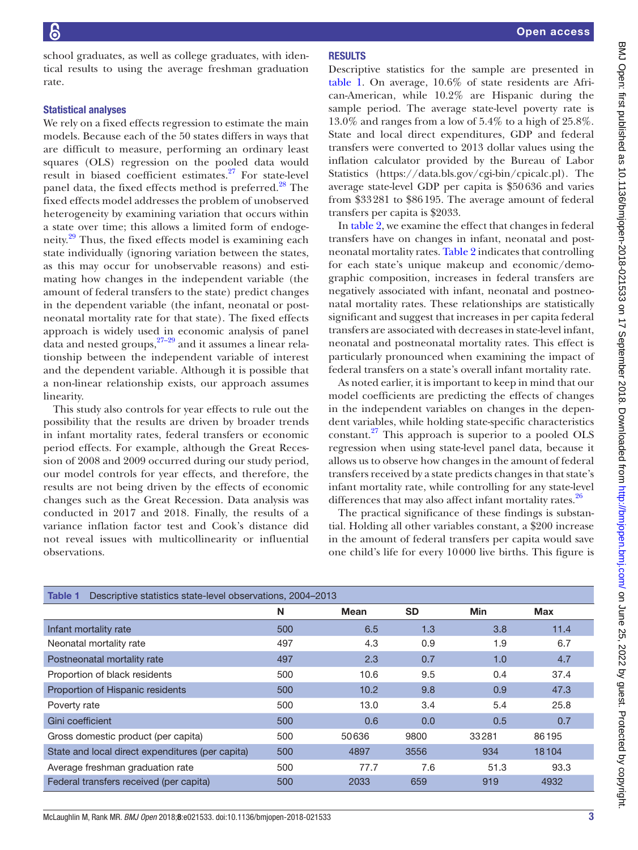school graduates, as well as college graduates, with identical results to using the average freshman graduation rate.

## Statistical analyses

We rely on a fixed effects regression to estimate the main models. Because each of the 50 states differs in ways that are difficult to measure, performing an ordinary least squares (OLS) regression on the pooled data would result in biased coefficient estimates.[27](#page-6-6) For state-level panel data, the fixed effects method is preferred.<sup>[28](#page-6-7)</sup> The fixed effects model addresses the problem of unobserved heterogeneity by examining variation that occurs within a state over time; this allows a limited form of endogeneity.<sup>29</sup> Thus, the fixed effects model is examining each state individually (ignoring variation between the states, as this may occur for unobservable reasons) and estimating how changes in the independent variable (the amount of federal transfers to the state) predict changes in the dependent variable (the infant, neonatal or postneonatal mortality rate for that state). The fixed effects approach is widely used in economic analysis of panel data and nested groups,  $27-29$  and it assumes a linear relationship between the independent variable of interest and the dependent variable. Although it is possible that a non-linear relationship exists, our approach assumes linearity.

This study also controls for year effects to rule out the possibility that the results are driven by broader trends in infant mortality rates, federal transfers or economic period effects. For example, although the Great Recession of 2008 and 2009 occurred during our study period, our model controls for year effects, and therefore, the results are not being driven by the effects of economic changes such as the Great Recession. Data analysis was conducted in 2017 and 2018. Finally, the results of a variance inflation factor test and Cook's distance did not reveal issues with multicollinearity or influential observations.

# **RESULTS**

Descriptive statistics for the sample are presented in [table](#page-2-0) 1. On average, 10.6% of state residents are African-American, while 10.2% are Hispanic during the sample period. The average state-level poverty rate is 13.0% and ranges from a low of 5.4% to a high of 25.8%. State and local direct expenditures, GDP and federal transfers were converted to 2013 dollar values using the inflation calculator provided by the Bureau of Labor Statistics ([https://data.bls.gov/cgi-bin/cpicalc.pl\)](https://data.bls.gov/cgi-bin/cpicalc.pl). The average state-level GDP per capita is \$50636 and varies from \$33281 to \$86195. The average amount of federal transfers per capita is \$2033.

In table 2, we examine the effect that changes in federal transfers have on changes in infant, neonatal and postneonatal mortality rates. Table 2 indicates that controlling for each state's unique makeup and economic/demographic composition, increases in federal transfers are negatively associated with infant, neonatal and postneonatal mortality rates. These relationships are statistically significant and suggest that increases in per capita federal transfers are associated with decreases in state-level infant, neonatal and postneonatal mortality rates. This effect is particularly pronounced when examining the impact of federal transfers on a state's overall infant mortality rate.

As noted earlier, it is important to keep in mind that our model coefficients are predicting the effects of changes in the independent variables on changes in the dependent variables, while holding state-specific characteristics constant[.27](#page-6-6) This approach is superior to a pooled OLS regression when using state-level panel data, because it allows us to observe how changes in the amount of federal transfers received by a state predicts changes in that state's infant mortality rate, while controlling for any state-level differences that may also affect infant mortality rates.<sup>[26](#page-6-5)</sup>

The practical significance of these findings is substantial. Holding all other variables constant, a \$200 increase in the amount of federal transfers per capita would save one child's life for every 10000 live births. This figure is

<span id="page-2-0"></span>

| Descriptive statistics state-level observations, 2004–2013<br>Table 1 |     |             |           |            |            |  |  |  |  |
|-----------------------------------------------------------------------|-----|-------------|-----------|------------|------------|--|--|--|--|
|                                                                       | N   | <b>Mean</b> | <b>SD</b> | <b>Min</b> | <b>Max</b> |  |  |  |  |
| Infant mortality rate                                                 | 500 | 6.5         | 1.3       | 3.8        | 11.4       |  |  |  |  |
| Neonatal mortality rate                                               | 497 | 4.3         | 0.9       | 1.9        | 6.7        |  |  |  |  |
| Postneonatal mortality rate                                           | 497 | 2.3         | 0.7       | 1.0        | 4.7        |  |  |  |  |
| Proportion of black residents                                         | 500 | 10.6        | 9.5       | 0.4        | 37.4       |  |  |  |  |
| Proportion of Hispanic residents                                      | 500 | 10.2        | 9.8       | 0.9        | 47.3       |  |  |  |  |
| Poverty rate                                                          | 500 | 13.0        | 3.4       | 5.4        | 25.8       |  |  |  |  |
| Gini coefficient                                                      | 500 | 0.6         | 0.0       | 0.5        | 0.7        |  |  |  |  |
| Gross domestic product (per capita)                                   | 500 | 50636       | 9800      | 33281      | 86195      |  |  |  |  |
| State and local direct expenditures (per capita)                      | 500 | 4897        | 3556      | 934        | 18104      |  |  |  |  |
| Average freshman graduation rate                                      | 500 | 77.7        | 7.6       | 51.3       | 93.3       |  |  |  |  |
| Federal transfers received (per capita)                               | 500 | 2033        | 659       | 919        | 4932       |  |  |  |  |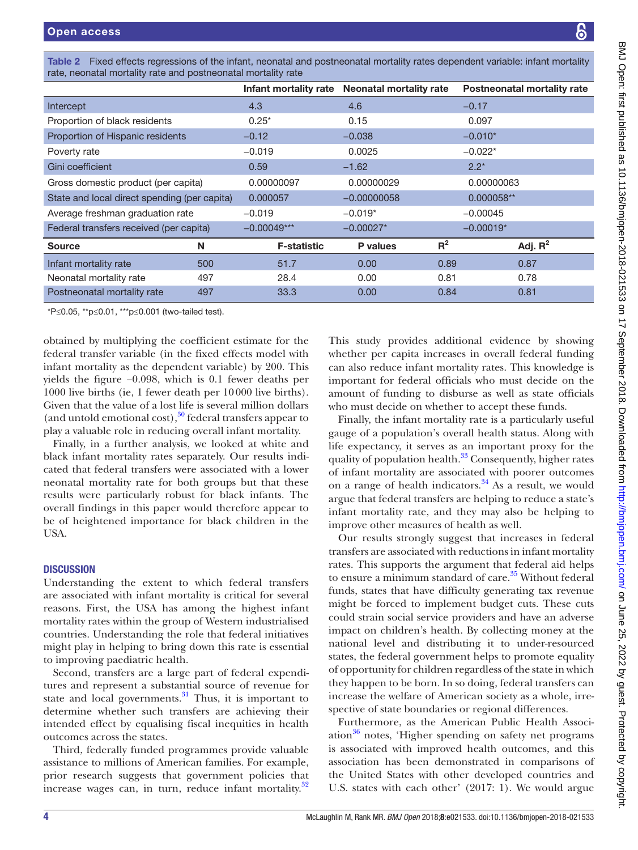| rate, neonatal mortality rate and postneonatal mortality rate |     |                       |                         |       |                                    |  |  |  |  |
|---------------------------------------------------------------|-----|-----------------------|-------------------------|-------|------------------------------------|--|--|--|--|
|                                                               |     | Infant mortality rate | Neonatal mortality rate |       | <b>Postneonatal mortality rate</b> |  |  |  |  |
| Intercept                                                     |     | 4.3                   | 4.6                     |       | $-0.17$                            |  |  |  |  |
| Proportion of black residents                                 |     | $0.25*$               | 0.15                    |       | 0.097                              |  |  |  |  |
| Proportion of Hispanic residents                              |     | $-0.12$               | $-0.038$                |       | $-0.010*$                          |  |  |  |  |
| Poverty rate                                                  |     | $-0.019$              | 0.0025                  |       | $-0.022*$                          |  |  |  |  |
| Gini coefficient                                              |     | 0.59                  | $-1.62$                 |       | $2.2*$                             |  |  |  |  |
| Gross domestic product (per capita)                           |     | 0.00000097            | 0.00000029              |       | 0.00000063                         |  |  |  |  |
| State and local direct spending (per capita)                  |     | 0.000057              | $-0.00000058$           |       | 0.000058**                         |  |  |  |  |
| Average freshman graduation rate                              |     | $-0.019$              | $-0.019*$               |       | $-0.00045$                         |  |  |  |  |
| Federal transfers received (per capita)                       |     | $-0.00049***$         | $-0.00027*$             |       | $-0.00019*$                        |  |  |  |  |
| <b>Source</b>                                                 | N   | <b>F-statistic</b>    | <b>P</b> values         | $R^2$ | Adj. $R^2$                         |  |  |  |  |
| Infant mortality rate                                         | 500 | 51.7                  | 0.00                    | 0.89  | 0.87                               |  |  |  |  |
| Neonatal mortality rate                                       | 497 | 28.4                  | 0.00                    | 0.81  | 0.78                               |  |  |  |  |
| Postneonatal mortality rate                                   | 497 | 33.3                  | 0.00                    | 0.84  | 0.81                               |  |  |  |  |
|                                                               |     |                       |                         |       |                                    |  |  |  |  |

Table 2 Fixed effects regressions of the infant, neonatal and postneonatal mortality rates dependent variable: infant mortality

\*P≤0.05, \*\*p≤0.01, \*\*\*p≤0.001 (two-tailed test).

obtained by multiplying the coefficient estimate for the federal transfer variable (in the fixed effects model with infant mortality as the dependent variable) by 200. This yields the figure −0.098, which is 0.1 fewer deaths per 1000 live births (ie, 1 fewer death per 10000 live births). Given that the value of a lost life is several million dollars (and untold emotional cost), $30$  federal transfers appear to play a valuable role in reducing overall infant mortality.

Finally, in a further analysis, we looked at white and black infant mortality rates separately. Our results indicated that federal transfers were associated with a lower neonatal mortality rate for both groups but that these results were particularly robust for black infants. The overall findings in this paper would therefore appear to be of heightened importance for black children in the USA.

# **DISCUSSION**

Understanding the extent to which federal transfers are associated with infant mortality is critical for several reasons. First, the USA has among the highest infant mortality rates within the group of Western industrialised countries. Understanding the role that federal initiatives might play in helping to bring down this rate is essential to improving paediatric health.

Second, transfers are a large part of federal expenditures and represent a substantial source of revenue for state and local governments. $31$  Thus, it is important to determine whether such transfers are achieving their intended effect by equalising fiscal inequities in health outcomes across the states.

Third, federally funded programmes provide valuable assistance to millions of American families. For example, prior research suggests that government policies that increase wages can, in turn, reduce infant mortality. $32$ 

This study provides additional evidence by showing whether per capita increases in overall federal funding can also reduce infant mortality rates. This knowledge is important for federal officials who must decide on the amount of funding to disburse as well as state officials who must decide on whether to accept these funds.

Finally, the infant mortality rate is a particularly useful gauge of a population's overall health status. Along with life expectancy, it serves as an important proxy for the quality of population health. $33$  Consequently, higher rates of infant mortality are associated with poorer outcomes on a range of health indicators. $34$  As a result, we would argue that federal transfers are helping to reduce a state's infant mortality rate, and they may also be helping to improve other measures of health as well.

Our results strongly suggest that increases in federal transfers are associated with reductions in infant mortality rates. This supports the argument that federal aid helps to ensure a minimum standard of care.<sup>35</sup> Without federal funds, states that have difficulty generating tax revenue might be forced to implement budget cuts. These cuts could strain social service providers and have an adverse impact on children's health. By collecting money at the national level and distributing it to under-resourced states, the federal government helps to promote equality of opportunity for children regardless of the state in which they happen to be born. In so doing, federal transfers can increase the welfare of American society as a whole, irrespective of state boundaries or regional differences.

Furthermore, as the American Public Health Association $36$  notes, 'Higher spending on safety net programs is associated with improved health outcomes, and this association has been demonstrated in comparisons of the United States with other developed countries and U.S. states with each other' (2017: 1). We would argue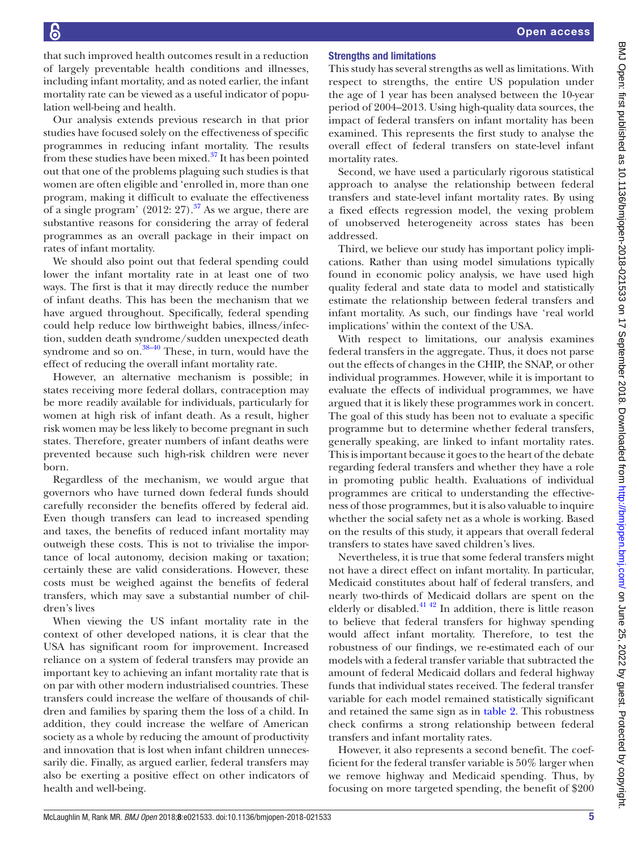that such improved health outcomes result in a reduction of largely preventable health conditions and illnesses, including infant mortality, and as noted earlier, the infant mortality rate can be viewed as a useful indicator of population well-being and health.

Our analysis extends previous research in that prior studies have focused solely on the effectiveness of specific programmes in reducing infant mortality. The results from these studies have been mixed. $37$  It has been pointed out that one of the problems plaguing such studies is that women are often eligible and 'enrolled in, more than one program, making it difficult to evaluate the effectiveness of a single program'  $(2012: 27).$ <sup>[37](#page-6-16)</sup> As we argue, there are substantive reasons for considering the array of federal programmes as an overall package in their impact on rates of infant mortality.

We should also point out that federal spending could lower the infant mortality rate in at least one of two ways. The first is that it may directly reduce the number of infant deaths. This has been the mechanism that we have argued throughout. Specifically, federal spending could help reduce low birthweight babies, illness/infection, sudden death syndrome/sudden unexpected death syndrome and so on. $\frac{38-40}{38}$  These, in turn, would have the effect of reducing the overall infant mortality rate.

However, an alternative mechanism is possible; in states receiving more federal dollars, contraception may be more readily available for individuals, particularly for women at high risk of infant death. As a result, higher risk women may be less likely to become pregnant in such states. Therefore, greater numbers of infant deaths were prevented because such high-risk children were never born.

Regardless of the mechanism, we would argue that governors who have turned down federal funds should carefully reconsider the benefits offered by federal aid. Even though transfers can lead to increased spending and taxes, the benefits of reduced infant mortality may outweigh these costs. This is not to trivialise the importance of local autonomy, decision making or taxation; certainly these are valid considerations. However, these costs must be weighed against the benefits of federal transfers, which may save a substantial number of children's lives

When viewing the US infant mortality rate in the context of other developed nations, it is clear that the USA has significant room for improvement. Increased reliance on a system of federal transfers may provide an important key to achieving an infant mortality rate that is on par with other modern industrialised countries. These transfers could increase the welfare of thousands of children and families by sparing them the loss of a child. In addition, they could increase the welfare of American society as a whole by reducing the amount of productivity and innovation that is lost when infant children unnecessarily die. Finally, as argued earlier, federal transfers may also be exerting a positive effect on other indicators of health and well-being.

# Strengths and limitations

This study has several strengths as well as limitations. With respect to strengths, the entire US population under the age of 1 year has been analysed between the 10-year period of 2004–2013. Using high-quality data sources, the impact of federal transfers on infant mortality has been examined. This represents the first study to analyse the overall effect of federal transfers on state-level infant mortality rates.

Second, we have used a particularly rigorous statistical approach to analyse the relationship between federal transfers and state-level infant mortality rates. By using a fixed effects regression model, the vexing problem of unobserved heterogeneity across states has been addressed.

Third, we believe our study has important policy implications. Rather than using model simulations typically found in economic policy analysis, we have used high quality federal and state data to model and statistically estimate the relationship between federal transfers and infant mortality. As such, our findings have 'real world implications' within the context of the USA.

With respect to limitations, our analysis examines federal transfers in the aggregate. Thus, it does not parse out the effects of changes in the CHIP, the SNAP, or other individual programmes. However, while it is important to evaluate the effects of individual programmes, we have argued that it is likely these programmes work in concert. The goal of this study has been not to evaluate a specific programme but to determine whether federal transfers, generally speaking, are linked to infant mortality rates. This is important because it goes to the heart of the debate regarding federal transfers and whether they have a role in promoting public health. Evaluations of individual programmes are critical to understanding the effectiveness of those programmes, but it is also valuable to inquire whether the social safety net as a whole is working. Based on the results of this study, it appears that overall federal transfers to states have saved children's lives.

Nevertheless, it is true that some federal transfers might not have a direct effect on infant mortality. In particular, Medicaid constitutes about half of federal transfers, and nearly two-thirds of Medicaid dollars are spent on the elderly or disabled.<sup>41 42</sup> In addition, there is little reason to believe that federal transfers for highway spending would affect infant mortality. Therefore, to test the robustness of our findings, we re-estimated each of our models with a federal transfer variable that subtracted the amount of federal Medicaid dollars and federal highway funds that individual states received. The federal transfer variable for each model remained statistically significant and retained the same sign as in table 2. This robustness check confirms a strong relationship between federal transfers and infant mortality rates.

However, it also represents a second benefit. The coefficient for the federal transfer variable is 50% larger when we remove highway and Medicaid spending. Thus, by focusing on more targeted spending, the benefit of \$200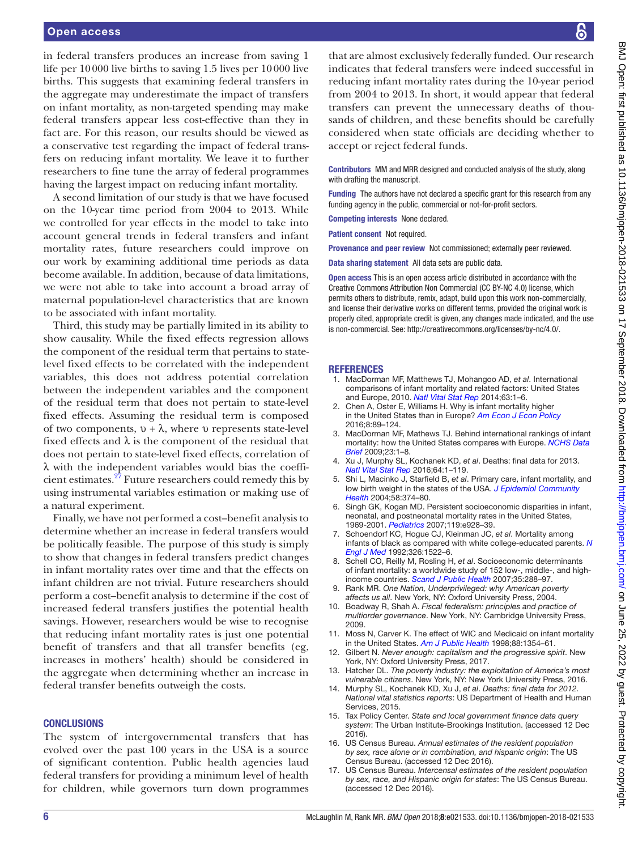#### Open access

in federal transfers produces an increase from saving 1 life per 10000 live births to saving 1.5 lives per 10000 live births. This suggests that examining federal transfers in the aggregate may underestimate the impact of transfers on infant mortality, as non-targeted spending may make federal transfers appear less cost-effective than they in fact are. For this reason, our results should be viewed as a conservative test regarding the impact of federal transfers on reducing infant mortality. We leave it to further researchers to fine tune the array of federal programmes having the largest impact on reducing infant mortality.

A second limitation of our study is that we have focused on the 10-year time period from 2004 to 2013. While we controlled for year effects in the model to take into account general trends in federal transfers and infant mortality rates, future researchers could improve on our work by examining additional time periods as data become available. In addition, because of data limitations, we were not able to take into account a broad array of maternal population-level characteristics that are known to be associated with infant mortality.

Third, this study may be partially limited in its ability to show causality. While the fixed effects regression allows the component of the residual term that pertains to statelevel fixed effects to be correlated with the independent variables, this does not address potential correlation between the independent variables and the component of the residual term that does not pertain to state-level fixed effects. Assuming the residual term is composed of two components,  $ν + λ$ , where ν represents state-level fixed effects and  $\lambda$  is the component of the residual that does not pertain to state-level fixed effects, correlation of λ with the independent variables would bias the coefficient estimates.<sup>27</sup> Future researchers could remedy this by using instrumental variables estimation or making use of a natural experiment.

Finally, we have not performed a cost–benefit analysis to determine whether an increase in federal transfers would be politically feasible. The purpose of this study is simply to show that changes in federal transfers predict changes in infant mortality rates over time and that the effects on infant children are not trivial. Future researchers should perform a cost–benefit analysis to determine if the cost of increased federal transfers justifies the potential health savings. However, researchers would be wise to recognise that reducing infant mortality rates is just one potential benefit of transfers and that all transfer benefits (eg, increases in mothers' health) should be considered in the aggregate when determining whether an increase in federal transfer benefits outweigh the costs.

#### **CONCLUSIONS**

The system of intergovernmental transfers that has evolved over the past 100 years in the USA is a source of significant contention. Public health agencies laud federal transfers for providing a minimum level of health for children, while governors turn down programmes

that are almost exclusively federally funded. Our research indicates that federal transfers were indeed successful in reducing infant mortality rates during the 10-year period from 2004 to 2013. In short, it would appear that federal transfers can prevent the unnecessary deaths of thousands of children, and these benefits should be carefully considered when state officials are deciding whether to accept or reject federal funds.

Contributors MM and MRR designed and conducted analysis of the study, along with drafting the manuscript.

Funding The authors have not declared a specific grant for this research from any funding agency in the public, commercial or not-for-profit sectors.

Competing interests None declared.

Patient consent Not required.

Provenance and peer review Not commissioned; externally peer reviewed.

Data sharing statement All data sets are public data.

Open access This is an open access article distributed in accordance with the Creative Commons Attribution Non Commercial (CC BY-NC 4.0) license, which permits others to distribute, remix, adapt, build upon this work non-commercially, and license their derivative works on different terms, provided the original work is properly cited, appropriate credit is given, any changes made indicated, and the use is non-commercial. See: [http://creativecommons.org/licenses/by-nc/4.0/.](http://creativecommons.org/licenses/by-nc/4.0/)

#### **REFERENCES**

- <span id="page-5-0"></span>1. MacDorman MF, Matthews TJ, Mohangoo AD, *et al*. International comparisons of infant mortality and related factors: United States and Europe, 2010. *[Natl Vital Stat Rep](http://www.ncbi.nlm.nih.gov/pubmed/25252091)* 2014;63:1–6.
- 2. Chen A, Oster E, Williams H. Why is infant mortality higher in the United States than in Europe? *[Am Econ J Econ Policy](http://dx.doi.org/10.1257/pol.20140224)* 2016;8:89–124.
- 3. MacDorman MF, Mathews TJ. Behind international rankings of infant mortality: how the United States compares with Europe. *[NCHS Data](http://www.ncbi.nlm.nih.gov/pubmed/19887034)  [Brief](http://www.ncbi.nlm.nih.gov/pubmed/19887034)* 2009;23:1–8.
- <span id="page-5-1"></span>4. Xu J, Murphy SL, Kochanek KD, *et al*. Deaths: final data for 2013. *[Natl Vital Stat Rep](http://www.ncbi.nlm.nih.gov/pubmed/26905861)* 2016;64:1–119.
- <span id="page-5-2"></span>5. Shi L, Macinko J, Starfield B, *et al*. Primary care, infant mortality, and low birth weight in the states of the USA. *[J Epidemiol Community](http://dx.doi.org/10.1136/jech.2003.013078)  [Health](http://dx.doi.org/10.1136/jech.2003.013078)* 2004;58:374–80.
- 6. Singh GK, Kogan MD. Persistent socioeconomic disparities in infant, neonatal, and postneonatal mortality rates in the United States, 1969-2001. *[Pediatrics](http://dx.doi.org/10.1542/peds.2005-2181)* 2007;119:e928–39.
- <span id="page-5-3"></span>7. Schoendorf KC, Hogue CJ, Kleinman JC, *et al*. Mortality among infants of black as compared with white college-educated parents. *[N](http://dx.doi.org/10.1056/NEJM199206043262303)  [Engl J Med](http://dx.doi.org/10.1056/NEJM199206043262303)* 1992;326:1522–6.
- 8. Schell CO, Reilly M, Rosling H, *et al*. Socioeconomic determinants of infant mortality: a worldwide study of 152 low-, middle-, and highincome countries. *[Scand J Public Health](http://dx.doi.org/10.1080/14034940600979171)* 2007;35:288–97.
- <span id="page-5-4"></span>9. Rank MR. *One Nation, Underprivileged: why American poverty affects us all*. New York, NY: Oxford University Press, 2004.
- <span id="page-5-5"></span>10. Boadway R, Shah A. *Fiscal federalism: principles and practice of multiorder governance*. New York, NY: Cambridge University Press, 2009.
- <span id="page-5-6"></span>11. Moss N, Carver K. The effect of WIC and Medicaid on infant mortality in the United States. *[Am J Public Health](http://dx.doi.org/10.2105/AJPH.88.9.1354)* 1998;88:1354–61.
- <span id="page-5-7"></span>12. Gilbert N. *Never enough: capitalism and the progressive spirit*. New York, NY: Oxford University Press, 2017.
- <span id="page-5-8"></span>13. Hatcher DL. *The poverty industry: the exploitation of America's most vulnerable citizens*. New York, NY: New York University Press, 2016.
- <span id="page-5-9"></span>14. Murphy SL, Kochanek KD, Xu J, *et al*. *Deaths: final data for 2012. National vital statistics reports*: US Department of Health and Human Services, 2015.
- <span id="page-5-10"></span>15. Tax Policy Center. *State and local government finance data query system*: The Urban Institute-Brookings Institution. (accessed 12 Dec 2016).
- <span id="page-5-11"></span>16. US Census Bureau. *Annual estimates of the resident population by sex, race alone or in combination, and hispanic origin*: The US Census Bureau. (accessed 12 Dec 2016).
- 17. US Census Bureau. *Intercensal estimates of the resident population by sex, race, and Hispanic origin for states*: The US Census Bureau. (accessed 12 Dec 2016).